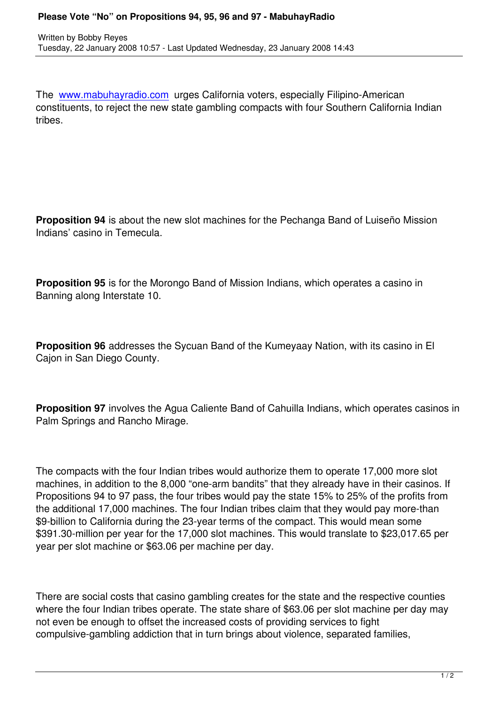The www.mabuhayradio.com urges California voters, especially Filipino-American constituents, to reject the new state gambling compacts with four Southern California Indian tribes.

**Proposition 94** is about the new slot machines for the Pechanga Band of Luiseño Mission Indians' casino in Temecula.

**Proposition 95** is for the Morongo Band of Mission Indians, which operates a casino in Banning along Interstate 10.

**Proposition 96** addresses the Sycuan Band of the Kumeyaay Nation, with its casino in El Cajon in San Diego County.

**Proposition 97** involves the Agua Caliente Band of Cahuilla Indians, which operates casinos in Palm Springs and Rancho Mirage.

The compacts with the four Indian tribes would authorize them to operate 17,000 more slot machines, in addition to the 8,000 "one-arm bandits" that they already have in their casinos. If Propositions 94 to 97 pass, the four tribes would pay the state 15% to 25% of the profits from the additional 17,000 machines. The four Indian tribes claim that they would pay more-than \$9-billion to California during the 23-year terms of the compact. This would mean some \$391.30-million per year for the 17,000 slot machines. This would translate to \$23,017.65 per year per slot machine or \$63.06 per machine per day.

There are social costs that casino gambling creates for the state and the respective counties where the four Indian tribes operate. The state share of \$63.06 per slot machine per day may not even be enough to offset the increased costs of providing services to fight compulsive-gambling addiction that in turn brings about violence, separated families,